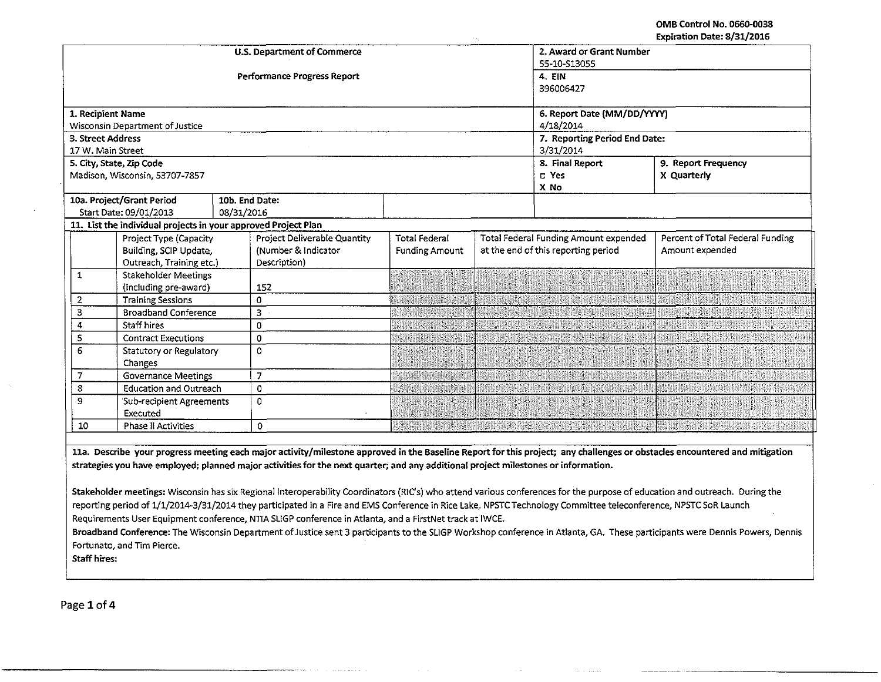OMB Control No. 0660-D038 Expiration Date: 8/31/2016

|                   |                                                                |                | <b>U.S. Department of Commerce</b>                                                                                                 |                               | 2. Award or Grant Number                     |                 |                                                                                                                                                                            |  |
|-------------------|----------------------------------------------------------------|----------------|------------------------------------------------------------------------------------------------------------------------------------|-------------------------------|----------------------------------------------|-----------------|----------------------------------------------------------------------------------------------------------------------------------------------------------------------------|--|
|                   |                                                                |                |                                                                                                                                    | 55-10-S13055                  |                                              |                 |                                                                                                                                                                            |  |
|                   |                                                                |                | Performance Progress Report                                                                                                        | 4. EIN                        |                                              |                 |                                                                                                                                                                            |  |
|                   |                                                                |                |                                                                                                                                    |                               |                                              | 396006427       |                                                                                                                                                                            |  |
|                   |                                                                |                |                                                                                                                                    |                               |                                              |                 |                                                                                                                                                                            |  |
| 1. Recipient Name |                                                                |                |                                                                                                                                    | 6. Report Date (MM/DD/YYYY)   |                                              |                 |                                                                                                                                                                            |  |
|                   | Wisconsin Department of Justice                                |                |                                                                                                                                    | 4/18/2014                     |                                              |                 |                                                                                                                                                                            |  |
| 3. Street Address |                                                                |                |                                                                                                                                    | 7. Reporting Period End Date: |                                              |                 |                                                                                                                                                                            |  |
| 17 W. Main Street |                                                                |                |                                                                                                                                    |                               |                                              | 3/31/2014       |                                                                                                                                                                            |  |
|                   | 5. City, State, Zip Code                                       |                |                                                                                                                                    |                               |                                              | 8. Final Report | 9. Report Frequency                                                                                                                                                        |  |
|                   | Madison, Wisconsin, 53707-7857                                 |                |                                                                                                                                    |                               |                                              | D Yes           | X Quarterly                                                                                                                                                                |  |
|                   |                                                                |                |                                                                                                                                    |                               |                                              | X No            |                                                                                                                                                                            |  |
|                   | 10a. Project/Grant Period                                      | 10b. End Date: |                                                                                                                                    |                               |                                              |                 |                                                                                                                                                                            |  |
|                   | Start Date: 09/01/2013                                         | 08/31/2016     |                                                                                                                                    |                               |                                              |                 |                                                                                                                                                                            |  |
|                   | 11. List the individual projects in your approved Project Plan |                |                                                                                                                                    |                               |                                              |                 |                                                                                                                                                                            |  |
|                   | Project Type (Capacity                                         |                | Project Deliverable Quantity                                                                                                       | <b>Total Federal</b>          | <b>Total Federal Funding Amount expended</b> |                 | Percent of Total Federal Funding                                                                                                                                           |  |
|                   | Building, SCIP Update,                                         |                | (Number & Indicator                                                                                                                | <b>Funding Amount</b>         | at the end of this reporting period          |                 | Amount expended                                                                                                                                                            |  |
|                   | Outreach, Training etc.)                                       |                | Description)                                                                                                                       |                               |                                              |                 |                                                                                                                                                                            |  |
| $\mathbf 1$       | <b>Stakeholder Meetings</b>                                    |                |                                                                                                                                    |                               |                                              |                 |                                                                                                                                                                            |  |
|                   | (including pre-award)                                          |                | 152                                                                                                                                |                               |                                              |                 |                                                                                                                                                                            |  |
| 2                 | <b>Training Sessions</b>                                       |                | $\mathbf 0$                                                                                                                        |                               |                                              |                 |                                                                                                                                                                            |  |
| 3                 | <b>Broadband Conference</b>                                    |                | 3                                                                                                                                  |                               |                                              |                 |                                                                                                                                                                            |  |
| 4                 | <b>Staff hires</b>                                             |                | $\Omega$                                                                                                                           |                               |                                              |                 |                                                                                                                                                                            |  |
| 5                 | <b>Contract Executions</b>                                     |                | $\mathbf 0$                                                                                                                        |                               |                                              |                 |                                                                                                                                                                            |  |
| 6                 | Statutory or Regulatory                                        |                | $\Omega$                                                                                                                           |                               |                                              |                 |                                                                                                                                                                            |  |
|                   | Changes                                                        |                |                                                                                                                                    |                               |                                              |                 |                                                                                                                                                                            |  |
| 7                 | <b>Governance Meetings</b>                                     |                | $\overline{z}$                                                                                                                     |                               |                                              |                 |                                                                                                                                                                            |  |
| 8                 | <b>Education and Outreach</b>                                  |                | $\mathbf 0$                                                                                                                        |                               |                                              |                 |                                                                                                                                                                            |  |
| 9                 | Sub-recipient Agreements                                       |                | $\Omega$                                                                                                                           |                               |                                              |                 |                                                                                                                                                                            |  |
|                   | Executed                                                       |                |                                                                                                                                    |                               |                                              |                 |                                                                                                                                                                            |  |
| 10                | <b>Phase II Activities</b>                                     |                | 0                                                                                                                                  |                               |                                              |                 |                                                                                                                                                                            |  |
|                   |                                                                |                |                                                                                                                                    |                               |                                              |                 |                                                                                                                                                                            |  |
|                   |                                                                |                |                                                                                                                                    |                               |                                              |                 | 11a. Describe your progress meeting each major activity/milestone approved in the Baseline Report for this project; any challenges or obstacles encountered and mitigation |  |
|                   |                                                                |                | strategies you have employed; planned major activities for the next quarter; and any additional project milestones or information. |                               |                                              |                 |                                                                                                                                                                            |  |
|                   |                                                                |                |                                                                                                                                    |                               |                                              |                 |                                                                                                                                                                            |  |
|                   |                                                                |                | the contract of the contract of the contract of the contract of the contract of the contract of the contract of                    |                               |                                              |                 |                                                                                                                                                                            |  |

Stakeholder meetings: Wisconsin has six Regional Interoperability Coordinators (RIC's) who attend various conferences for the purpose of education and outreach. During the reporting period of 1/1/2014-3/31/2014 they participated in a Fire and EMS Conference in Rice Lake, NPSTC Technology Committee teleconference, NPSTC SoR Launch Requirements User Equipment conference, NTtA SUGP conference in Atlanta, and a FirstNet track at 1WCE.

Broadband Conference: The Wisconsin Department of Justice sent 3 participants to the SLIGP Workshop conference in Atlanta, GA. These participants were Dennis Powers, Dennis Fortunato, and Tim Pierce.

Staff hires:

Page 1 of 4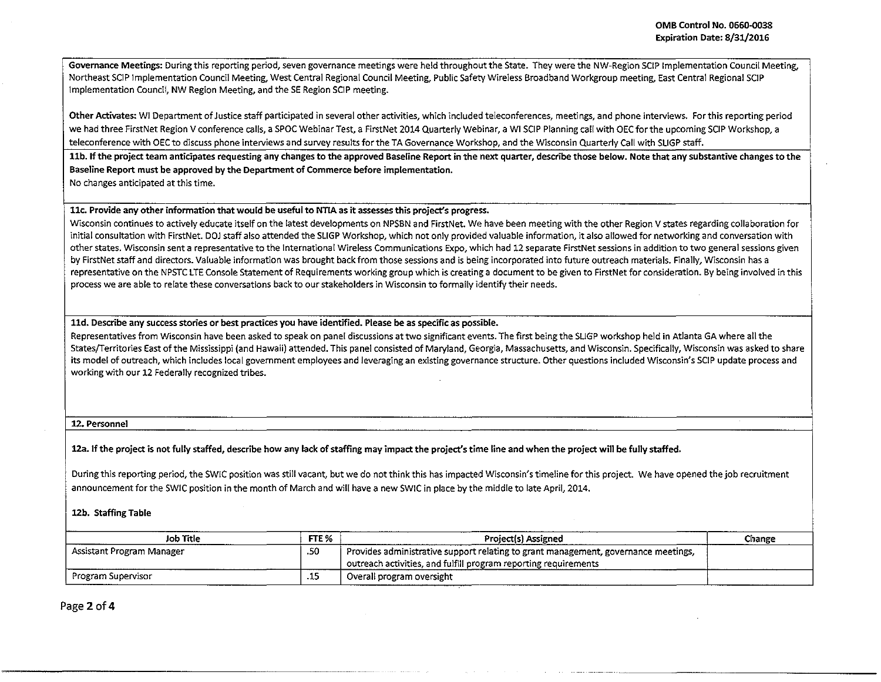Governance Meetings: During this reporting period, seven governance meetings were held throughout the State. They were the NW-Region SCIP Implementation Council Meeting,. Northeast SCIP Implementation Council Meeting. West Central Regional Council Meeting, Public Safety Wireless Broadband Workgroup meeting. East Central Regional SCIP Implementation Council, NW Region Meeting, and the SE Region SCIP meeting.

Other Activates: WI Department of Justice staff participated in several other activities, which included teleconferences, meetings, and phone interviews. Forth is reporting period we had three FirstNet Region V conference calls, a SPOC Webinar Test, a FirstNet 2014 Quarterly Webinar, a WI SCIP Planning call with OEC for the upcoming SCIP Workshop, a teleconference with OEC to discuss phone interviews and survey results for the TA Governance Workshop, and the Wisconsin Quarterly Call with SLIGP staff.

llb. If the project team anticipates requesting any changes to the approved Baseline Report in the next quarter, describe those below. Note that any substantive changes to the Baseline Report must be approved by the Department of Commerce before implementation.

No changes anticipated at this time.

llc. Provide any other information that would be useful to NTIA as it assesses this project's progress.

Wisconsin continues to actively educate itself on the latest developments on NPSBN and FirstNet. We have been meeting with the other Region V states regarding collaboration for initial consultation with FirstNet. DOJ staff also attended the SLIGP Workshop, which not only provided valuable information, it also allowed for networking and conversation with other states. Wisconsin sent a representative to the International Wireless Communications Expo, which had 12 separate FirstNet sessions in addition to two general sessions given by FirstNet staff and directors. Valuable information was brought back from those sessions and is being incorporated into future outreach materials. Finally, Wisconsin has a representative on the NPSTC LTE Console Statement of Requirements working group which is creating a document to be given to FirstNet for consideration. By being involved in this process we are able to relate these conversations back to our stakeholders in Wisconsin to formally identify their needs.

lld. Describe any success stories or best practices you have identified. Please be as specific as possible.

Representatives from Wisconsin have been asked to speak on panel discussions at two significant events. The first being the SLIGP workshop held in Atlanta GA where all the States/Territories East of the Mississippi (and Hawaii) attended. This panel consisted of Maryland, Georgia, Massachusetts, and Wisconsin. Specifically, Wisconsin was asked to share its model of outreach, which includes local government employees and leveraging an existing governance structure. Other questions included Wisconsin's SCIP update process and working with our 12 Federally recognized tribes.

12. Personnel

12a.lf the project is not fully staffed, describe how any lack of staffing may impact the project's time line and when the project will be fully staffed.

During this reporting period, the SWJC position was still vacant, but we do not think this has impacted Wisconsin's timeline for this project. We have opened the job recruitment announcement for the SWIC position in the month of March and will have a new SWIC in place by the middle to late April, 2014.

12b. Staffing Table

----------------~------·

| Job Title                 | FTE %  | <b>Project(s) Assigned</b>                                                                                                                            | Change |
|---------------------------|--------|-------------------------------------------------------------------------------------------------------------------------------------------------------|--------|
| Assistant Program Manager | .50    | Provides administrative support relating to grant management, governance meetings,<br>outreach activities, and fulfill program reporting requirements |        |
| Program Supervisor        | سوال و | Overall program oversight<br>.                                                                                                                        |        |

Page 2 of 4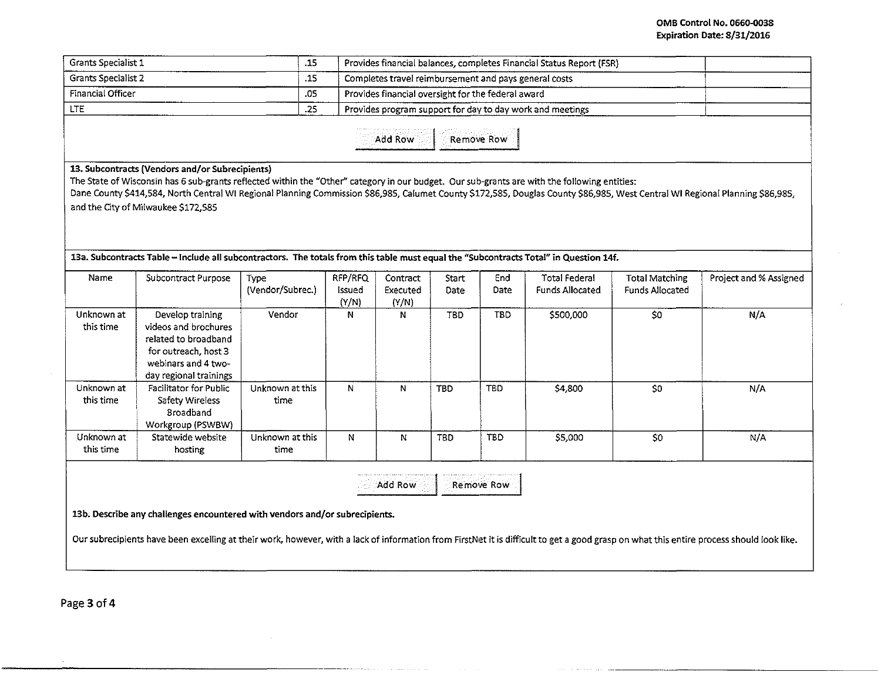| Grants Specialist 1        |                                                                                                                                                                                                                                                                                                                                                                                                                         |                          |                   | Provides financial balances, completes Financial Status Report (FSR) |               |             |                                                           |                                                 |                        |
|----------------------------|-------------------------------------------------------------------------------------------------------------------------------------------------------------------------------------------------------------------------------------------------------------------------------------------------------------------------------------------------------------------------------------------------------------------------|--------------------------|-------------------|----------------------------------------------------------------------|---------------|-------------|-----------------------------------------------------------|-------------------------------------------------|------------------------|
| <b>Grants Specialist 2</b> |                                                                                                                                                                                                                                                                                                                                                                                                                         |                          |                   | Completes travel reimbursement and pays general costs                |               |             |                                                           |                                                 |                        |
| Financial Officer<br>.05   |                                                                                                                                                                                                                                                                                                                                                                                                                         |                          |                   | Provides financial oversight for the federal award                   |               |             |                                                           |                                                 |                        |
| LTE.<br>.25                |                                                                                                                                                                                                                                                                                                                                                                                                                         |                          |                   |                                                                      |               |             | Provides program support for day to day work and meetings |                                                 |                        |
|                            |                                                                                                                                                                                                                                                                                                                                                                                                                         |                          |                   | Add Row                                                              |               | Remove Row  |                                                           |                                                 |                        |
|                            | 13. Subcontracts (Vendors and/or Subrecipients)<br>The State of Wisconsin has 6 sub-grants reflected within the "Other" category in our budget. Our sub-grants are with the following entities:<br>Dane County \$414,584, North Central WI Regional Planning Commission \$86,985, Calumet County \$172,585, Douglas County \$86,985, West Central WI Regional Planning \$86,985,<br>and the City of Milwaukee \$172,585 |                          |                   |                                                                      |               |             |                                                           |                                                 |                        |
|                            |                                                                                                                                                                                                                                                                                                                                                                                                                         |                          |                   |                                                                      |               |             |                                                           |                                                 |                        |
| Name                       | 13a. Subcontracts Table - include all subcontractors. The totals from this table must equal the "Subcontracts Total" in Question 14f.<br>Subcontract Purpose                                                                                                                                                                                                                                                            | Type<br>(Vendor/Subrec.) | RFP/RFQ<br>Issued | Contract<br>Executed                                                 | Start<br>Date | End<br>Date | <b>Total Federal</b><br><b>Funds Allocated</b>            | <b>Total Matching</b><br><b>Funds Allocated</b> | Project and % Assigned |
| Unknown at<br>this time    | Develop training<br>videos and brochures<br>related to broadband<br>for outreach, host 3<br>webinars and 4 two-                                                                                                                                                                                                                                                                                                         | Vendor                   | (Y/N)<br>N        | (Y/N)<br>N                                                           | <b>TBD</b>    | TBD         | \$500,000                                                 | $\overline{\text{SO}}$                          | N/A                    |
| Unknown at<br>this time    | day regional trainings<br>Facilitator for Public<br>Safety Wireless<br>Broadband<br>Workgroup (PSWBW)                                                                                                                                                                                                                                                                                                                   | Unknown at this<br>time  | N                 | N                                                                    | <b>TBD</b>    | <b>TBD</b>  | \$4,800                                                   | \$0\$                                           | N/A                    |

13b. Describe any challenges encountered with vendors and/or subrecipients.

Our subrecipients have been excelling at their work, however, with a lack of information from FirstNet it is difficult to get a good grasp on what this entire process should look like.

مروا المتواصل سأناطب

Page 3 of 4